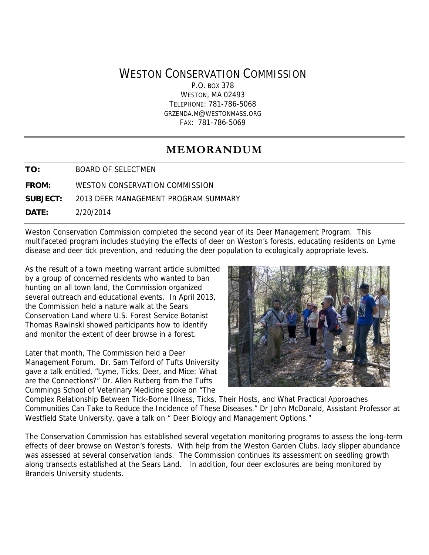# WESTON CONSERVATION COMMISSION

P.O. BOX 378 WESTON, MA 02493 TELEPHONE: 781-786-5068 GRZENDA.M@WESTONMASS.ORG FAX: 781-786-5069

# **MEMORANDUM**

**TO:** BOARD OF SELECTMEN

**FROM:** WESTON CONSERVATION COMMISSION

**SUBJECT:** 2013 DEER MANAGEMENT PROGRAM SUMMARY

**DATE:** 2/20/2014

Weston Conservation Commission completed the second year of its Deer Management Program. This multifaceted program includes studying the effects of deer on Weston's forests, educating residents on Lyme disease and deer tick prevention, and reducing the deer population to ecologically appropriate levels.

As the result of a town meeting warrant article submitted by a group of concerned residents who wanted to ban hunting on all town land, the Commission organized several outreach and educational events. In April 2013, the Commission held a nature walk at the Sears Conservation Land where U.S. Forest Service Botanist Thomas Rawinski showed participants how to identify and monitor the extent of deer browse in a forest.

Later that month, The Commission held a Deer Management Forum. Dr. Sam Telford of Tufts University gave a talk entitled, "Lyme, Ticks, Deer, and Mice: What are the Connections?" Dr. Allen Rutberg from the Tufts Cummings School of Veterinary Medicine spoke on "The



Complex Relationship Between Tick-Borne Illness, Ticks, Their Hosts, and What Practical Approaches Communities Can Take to Reduce the Incidence of These Diseases." Dr John McDonald, Assistant Professor at Westfield State University, gave a talk on " Deer Biology and Management Options."

The Conservation Commission has established several vegetation monitoring programs to assess the long-term effects of deer browse on Weston's forests. With help from the Weston Garden Clubs, lady slipper abundance was assessed at several conservation lands. The Commission continues its assessment on seedling growth along transects established at the Sears Land. In addition, four deer exclosures are being monitored by Brandeis University students.